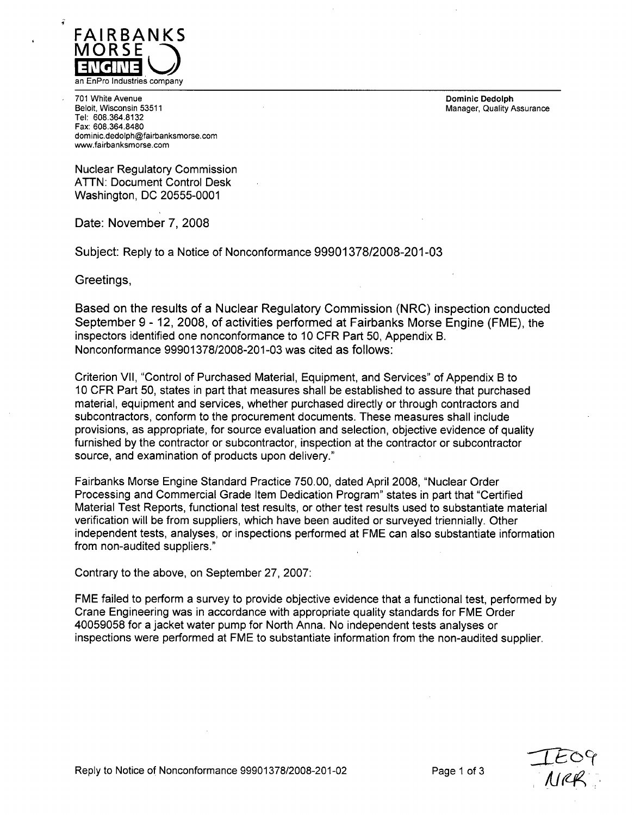

701 White Avenue Dominic Dedolph Tel: 608.364.8132 Fax: 608.364.8480 dominic.dedolph@fairbanksmorse.com www.fairbanksmorse.com

Manager, Quality Assurance

Nuclear Regulatory Commission ATTN: Document Control Desk Washington, DC 20555-0001

Date: November 7, 2008

Subject: Reply to a Notice of Nonconformance 99901378/2008-201-03

Greetings,

Based on the results of a Nuclear Regulatory Commission (NRC) inspection conducted September 9 - 12, 2008, of activities performed at Fairbanks Morse Engine (FME), the inspectors identified one nonconformance to 10 CFR Part 50, Appendix B. Nonconformance 99901378/2008-201-03 was cited as follows:

Criterion VII, "Control of Purchased Material, Equipment, and Services" of Appendix B to 10 CFR Part 50, states in part that measures shall be established to assure that purchased material, equipment and services, whether purchased directly or through contractors and subcontractors, conform to the procurement documents. These measures shall include provisions, as appropriate, for source evaluation and selection, objective evidence of quality furnished by the contractor or subcontractor, inspection at the contractor or subcontractor source, and examination of products upon delivery."

Fairbanks Morse Engine Standard Practice 750.00, dated April 2008, "Nuclear Order Processing and Commercial Grade Item Dedication Program" states in part that "Certified Material Test Reports, functional test results, or other test results used to substantiate material verification will be from suppliers, which have been audited or surveyed triennially. Other independent tests, analyses, or inspections performed at FME can also substantiate information from non-audited suppliers."

Contrary to the above, on September 27, 2007:

FME failed to perform a survey to provide objective evidence that a functional test, performed by Crane Engineering was in accordance with appropriate quality standards for FME Order 40059058 for a jacket water pump for North Anna. No independent tests analyses or inspections were performed at FME to substantiate information from the non-audited supplier.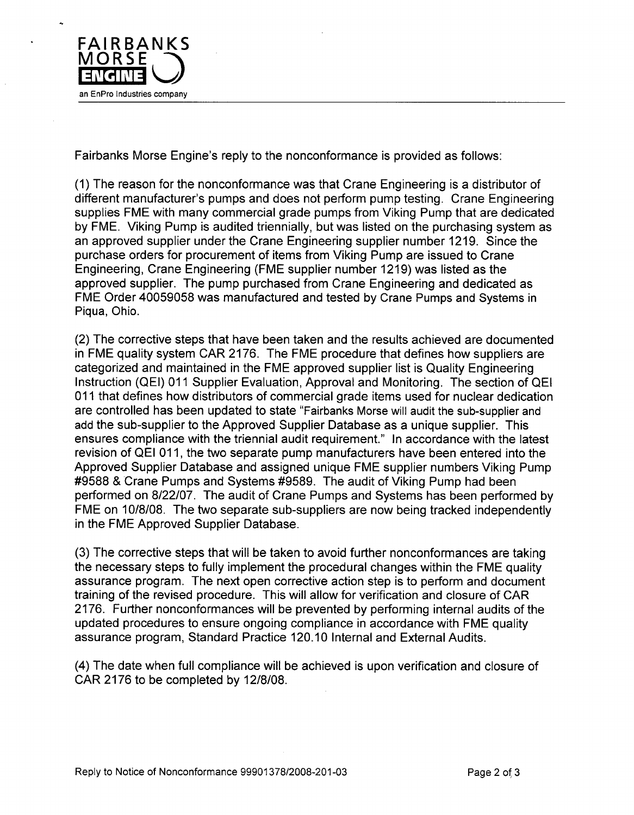

Fairbanks Morse Engine's reply to the nonconformance is provided as follows:

(1) The reason for the nonconformance was that Crane Engineering is a distributor of different manufacturer's pumps and does not perform pump testing. Crane Engineering supplies FME with many commercial grade pumps from Viking Pump that are dedicated by FME. Viking Pump is audited triennially, but was listed on the purchasing system as an approved supplier under the Crane Engineering supplier number 1219. Since the purchase orders for procurement of items from Viking Pump are issued to Crane Engineering, Crane Engineering (FME supplier number 1219) was listed as the approved supplier. The pump purchased from Crane Engineering and dedicated as FME Order 40059058 was manufactured and tested by Crane Pumps and Systems in Piqua, Ohio.

(2) The corrective steps that have been taken and the results achieved are documented in FME quality system CAR 2176. The FME procedure that defines how suppliers are categorized and maintained in the FME approved supplier list is Quality Engineering Instruction (QEI) 011 Supplier Evaluation, Approval and Monitoring. The section of QEI 011 that defines how distributors of commercial grade items used for nuclear dedication are controlled has been updated to state "Fairbanks Morse will audit the sub-supplier and add the sub-supplier to the Approved Supplier Database as a unique supplier. This ensures compliance with the triennial audit requirement." In accordance with the latest revision of QEI 011, the two separate pump manufacturers have been entered into the Approved Supplier Database and assigned unique FME supplier numbers Viking Pump #9588 & Crane Pumps and Systems #9589. The audit of Viking Pump had been performed on 8/22/07. The audit of Crane Pumps and Systems has been performed by FME on 10/8/08. The two separate sub-suppliers are now being tracked independently in the FME Approved Supplier Database.

(3) The corrective steps that will be taken to avoid further nonconformances are taking the necessary steps to fully implement the procedural changes within the FME quality assurance program. The next open corrective action step is to perform and document training of the revised procedure. This will allow for verification and closure of CAR 2176. Further nonconformances will be prevented by performing internal audits of the updated procedures to ensure ongoing compliance in accordance with FME quality assurance program, Standard Practice 120.10 Internal and External Audits.

(4) The date when full compliance will be achieved is upon verification and closure of CAR 2176 to be completed by 12/8/08.